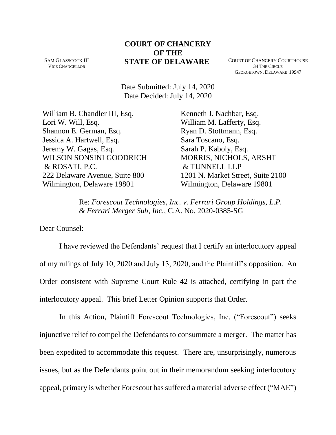## **COURT OF CHANCERY OF THE STATE OF DELAWARE** COURT OF CHANCERY COURTHOUSE

SAM GLASSCOCK III VICE CHANCELLOR

34 THE CIRCLE GEORGETOWN, DELAWARE 19947

Date Submitted: July 14, 2020 Date Decided: July 14, 2020

William B. Chandler III, Esq. Lori W. Will, Esq. Shannon E. German, Esq. Jessica A. Hartwell, Esq. Jeremy W. Gagas, Esq. WILSON SONSINI GOODRICH & ROSATI, P.C. 222 Delaware Avenue, Suite 800 Wilmington, Delaware 19801

Kenneth J. Nachbar, Esq. William M. Lafferty, Esq. Ryan D. Stottmann, Esq. Sara Toscano, Esq. Sarah P. Kaboly, Esq. MORRIS, NICHOLS, ARSHT & TUNNELL LLP 1201 N. Market Street, Suite 2100 Wilmington, Delaware 19801

Re: *Forescout Technologies, Inc. v. Ferrari Group Holdings, L.P. & Ferrari Merger Sub, Inc.*, C.A. No. 2020-0385-SG

Dear Counsel:

I have reviewed the Defendants' request that I certify an interlocutory appeal of my rulings of July 10, 2020 and July 13, 2020, and the Plaintiff's opposition. An Order consistent with Supreme Court Rule 42 is attached, certifying in part the interlocutory appeal. This brief Letter Opinion supports that Order.

In this Action, Plaintiff Forescout Technologies, Inc. ("Forescout") seeks injunctive relief to compel the Defendants to consummate a merger. The matter has been expedited to accommodate this request. There are, unsurprisingly, numerous issues, but as the Defendants point out in their memorandum seeking interlocutory appeal, primary is whether Forescout has suffered a material adverse effect ("MAE")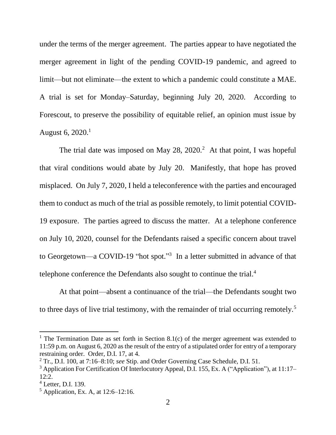under the terms of the merger agreement. The parties appear to have negotiated the merger agreement in light of the pending COVID-19 pandemic, and agreed to limit—but not eliminate—the extent to which a pandemic could constitute a MAE. A trial is set for Monday–Saturday, beginning July 20, 2020. According to Forescout, to preserve the possibility of equitable relief, an opinion must issue by August 6, 2020.<sup>1</sup>

The trial date was imposed on May  $28$ ,  $2020$ .<sup>2</sup> At that point, I was hopeful that viral conditions would abate by July 20. Manifestly, that hope has proved misplaced. On July 7, 2020, I held a teleconference with the parties and encouraged them to conduct as much of the trial as possible remotely, to limit potential COVID-19 exposure. The parties agreed to discuss the matter. At a telephone conference on July 10, 2020, counsel for the Defendants raised a specific concern about travel to Georgetown—a COVID-19 "hot spot."<sup>3</sup> In a letter submitted in advance of that telephone conference the Defendants also sought to continue the trial.<sup>4</sup>

At that point—absent a continuance of the trial—the Defendants sought two to three days of live trial testimony, with the remainder of trial occurring remotely.<sup>5</sup>

<sup>&</sup>lt;sup>1</sup> The Termination Date as set forth in Section 8.1(c) of the merger agreement was extended to 11:59 p.m. on August 6, 2020 as the result of the entry of a stipulated order for entry of a temporary restraining order. Order, D.I. 17, at 4.

<sup>2</sup> Tr., D.I. 100, at 7:16–8:10; *see* Stip. and Order Governing Case Schedule, D.I. 51.

<sup>&</sup>lt;sup>3</sup> Application For Certification Of Interlocutory Appeal, D.I. 155, Ex. A ("Application"), at 11:17– 12:2.

<sup>4</sup> Letter, D.I. 139.

 $<sup>5</sup>$  Application, Ex. A, at 12:6–12:16.</sup>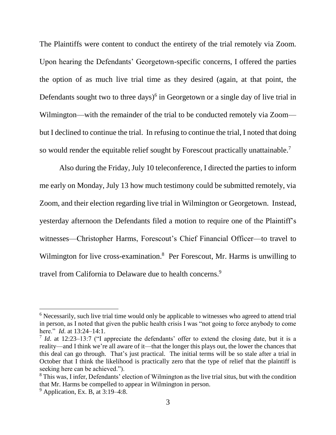The Plaintiffs were content to conduct the entirety of the trial remotely via Zoom. Upon hearing the Defendants' Georgetown-specific concerns, I offered the parties the option of as much live trial time as they desired (again, at that point, the Defendants sought two to three days)<sup>6</sup> in Georgetown or a single day of live trial in Wilmington—with the remainder of the trial to be conducted remotely via Zoom but I declined to continue the trial. In refusing to continue the trial, I noted that doing so would render the equitable relief sought by Forescout practically unattainable.<sup>7</sup>

Also during the Friday, July 10 teleconference, I directed the parties to inform me early on Monday, July 13 how much testimony could be submitted remotely, via Zoom, and their election regarding live trial in Wilmington or Georgetown. Instead, yesterday afternoon the Defendants filed a motion to require one of the Plaintiff's witnesses—Christopher Harms, Forescout's Chief Financial Officer—to travel to Wilmington for live cross-examination.<sup>8</sup> Per Forescout, Mr. Harms is unwilling to travel from California to Delaware due to health concerns.<sup>9</sup>

<sup>&</sup>lt;sup>6</sup> Necessarily, such live trial time would only be applicable to witnesses who agreed to attend trial in person, as I noted that given the public health crisis I was "not going to force anybody to come here." *Id*. at 13:24–14:1.

<sup>&</sup>lt;sup>7</sup> *Id*. at 12:23–13:7 ("I appreciate the defendants' offer to extend the closing date, but it is a reality—and I think we're all aware of it—that the longer this plays out, the lower the chances that this deal can go through. That's just practical. The initial terms will be so stale after a trial in October that I think the likelihood is practically zero that the type of relief that the plaintiff is seeking here can be achieved.").

<sup>&</sup>lt;sup>8</sup> This was, I infer, Defendants' election of Wilmington as the live trial situs, but with the condition that Mr. Harms be compelled to appear in Wilmington in person.

 $<sup>9</sup>$  Application, Ex. B, at 3:19–4:8.</sup>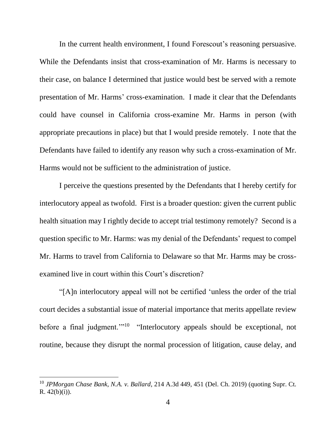In the current health environment, I found Forescout's reasoning persuasive. While the Defendants insist that cross-examination of Mr. Harms is necessary to their case, on balance I determined that justice would best be served with a remote presentation of Mr. Harms' cross-examination. I made it clear that the Defendants could have counsel in California cross-examine Mr. Harms in person (with appropriate precautions in place) but that I would preside remotely. I note that the Defendants have failed to identify any reason why such a cross-examination of Mr. Harms would not be sufficient to the administration of justice.

I perceive the questions presented by the Defendants that I hereby certify for interlocutory appeal as twofold. First is a broader question: given the current public health situation may I rightly decide to accept trial testimony remotely? Second is a question specific to Mr. Harms: was my denial of the Defendants' request to compel Mr. Harms to travel from California to Delaware so that Mr. Harms may be crossexamined live in court within this Court's discretion?

"[A]n interlocutory appeal will not be certified 'unless the order of the trial court decides a substantial issue of material importance that merits appellate review before a final judgment."<sup>10</sup> "Interlocutory appeals should be exceptional, not routine, because they disrupt the normal procession of litigation, cause delay, and

<sup>10</sup> *JPMorgan Chase Bank, N.A. v. Ballard*, 214 A.3d 449, 451 (Del. Ch. 2019) (quoting Supr. Ct.  $R. 42(b)(i)$ ).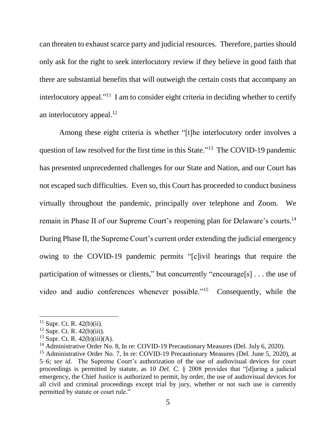can threaten to exhaust scarce party and judicial resources. Therefore, parties should only ask for the right to seek interlocutory review if they believe in good faith that there are substantial benefits that will outweigh the certain costs that accompany an interlocutory appeal."<sup>11</sup> I am to consider eight criteria in deciding whether to certify an interlocutory appeal.<sup>12</sup>

Among these eight criteria is whether "[t]he interlocutory order involves a question of law resolved for the first time in this State."<sup>13</sup> The COVID-19 pandemic has presented unprecedented challenges for our State and Nation, and our Court has not escaped such difficulties. Even so, this Court has proceeded to conduct business virtually throughout the pandemic, principally over telephone and Zoom. We remain in Phase II of our Supreme Court's reopening plan for Delaware's courts.<sup>14</sup> During Phase II, the Supreme Court's current order extending the judicial emergency owing to the COVID-19 pandemic permits "[c]ivil hearings that require the participation of witnesses or clients," but concurrently "encourage[s] . . . the use of video and audio conferences whenever possible."<sup>15</sup> Consequently, while the

 $11$  Supr. Ct. R. 42(b)(ii).

 $12$  Supr. Ct. R. 42(b)(iii).

 $13$  Supr. Ct. R. 42(b)(iii)(A).

<sup>&</sup>lt;sup>14</sup> Administrative Order No. 8, In re: COVID-19 Precautionary Measures (Del. July 6, 2020).

<sup>&</sup>lt;sup>15</sup> Administrative Order No. 7, In re: COVID-19 Precautionary Measures (Del. June 5, 2020), at 5–6; *see id*. The Supreme Court's authorization of the use of audiovisual devices for court proceedings is permitted by statute, as 10 *Del. C.* § 2008 provides that "[d]uring a judicial emergency, the Chief Justice is authorized to permit, by order, the use of audiovisual devices for all civil and criminal proceedings except trial by jury, whether or not such use is currently permitted by statute or court rule."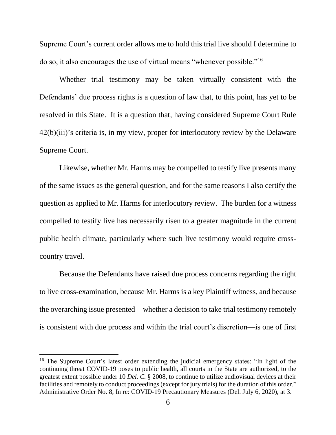Supreme Court's current order allows me to hold this trial live should I determine to do so, it also encourages the use of virtual means "whenever possible."<sup>16</sup>

Whether trial testimony may be taken virtually consistent with the Defendants' due process rights is a question of law that, to this point, has yet to be resolved in this State. It is a question that, having considered Supreme Court Rule 42(b)(iii)'s criteria is, in my view, proper for interlocutory review by the Delaware Supreme Court.

Likewise, whether Mr. Harms may be compelled to testify live presents many of the same issues as the general question, and for the same reasons I also certify the question as applied to Mr. Harms for interlocutory review. The burden for a witness compelled to testify live has necessarily risen to a greater magnitude in the current public health climate, particularly where such live testimony would require crosscountry travel.

Because the Defendants have raised due process concerns regarding the right to live cross-examination, because Mr. Harms is a key Plaintiff witness, and because the overarching issue presented—whether a decision to take trial testimony remotely is consistent with due process and within the trial court's discretion—is one of first

<sup>&</sup>lt;sup>16</sup> The Supreme Court's latest order extending the judicial emergency states: "In light of the continuing threat COVID-19 poses to public health, all courts in the State are authorized, to the greatest extent possible under 10 *Del. C.* § 2008, to continue to utilize audiovisual devices at their facilities and remotely to conduct proceedings (except for jury trials) for the duration of this order." Administrative Order No. 8, In re: COVID-19 Precautionary Measures (Del. July 6, 2020), at 3.